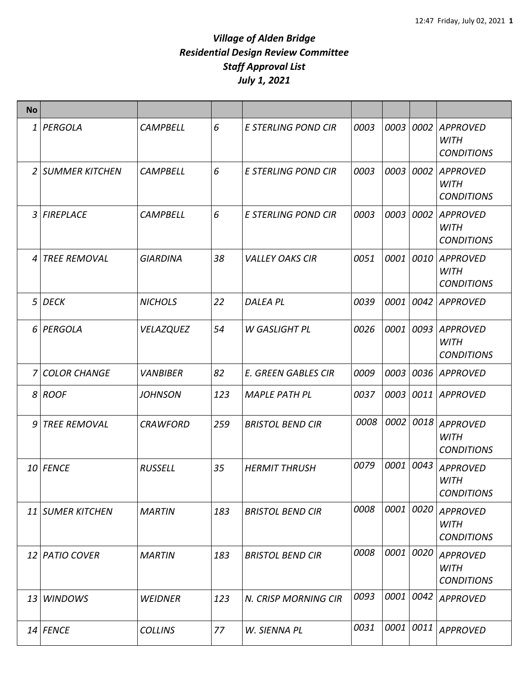| <b>No</b> |                     |                  |     |                            |      |      |      |                                                     |
|-----------|---------------------|------------------|-----|----------------------------|------|------|------|-----------------------------------------------------|
|           | 1 PERGOLA           | <b>CAMPBELL</b>  | 6   | E STERLING POND CIR        | 0003 | 0003 | 0002 | <b>APPROVED</b><br><b>WITH</b><br><b>CONDITIONS</b> |
|           | 2 SUMMER KITCHEN    | <b>CAMPBELL</b>  | 6   | <b>E STERLING POND CIR</b> | 0003 | 0003 | 0002 | <b>APPROVED</b><br><b>WITH</b><br><b>CONDITIONS</b> |
|           | 3 FIREPLACE         | <b>CAMPBELL</b>  | 6   | E STERLING POND CIR        | 0003 | 0003 | 0002 | <b>APPROVED</b><br><b>WITH</b><br><b>CONDITIONS</b> |
| 4         | <b>TREE REMOVAL</b> | <b>GIARDINA</b>  | 38  | <b>VALLEY OAKS CIR</b>     | 0051 | 0001 | 0010 | <b>APPROVED</b><br><b>WITH</b><br><b>CONDITIONS</b> |
|           | $5$ DECK            | <b>NICHOLS</b>   | 22  | <b>DALEA PL</b>            | 0039 | 0001 | 0042 | <b>APPROVED</b>                                     |
|           | 6 PERGOLA           | <b>VELAZQUEZ</b> | 54  | <b>W GASLIGHT PL</b>       | 0026 | 0001 | 0093 | <b>APPROVED</b><br><b>WITH</b><br><b>CONDITIONS</b> |
|           | 7 COLOR CHANGE      | <b>VANBIBER</b>  | 82  | <b>E. GREEN GABLES CIR</b> | 0009 | 0003 | 0036 | <b>APPROVED</b>                                     |
|           | 8 ROOF              | <b>JOHNSON</b>   | 123 | <b>MAPLE PATH PL</b>       | 0037 | 0003 | 0011 | <b>APPROVED</b>                                     |
| 9         | <b>TREE REMOVAL</b> | <b>CRAWFORD</b>  | 259 | <b>BRISTOL BEND CIR</b>    | 0008 | 0002 | 0018 | <b>APPROVED</b><br><b>WITH</b><br><b>CONDITIONS</b> |
|           | 10 FENCE            | <b>RUSSELL</b>   | 35  | <b>HERMIT THRUSH</b>       | 0079 | 0001 | 0043 | <b>APPROVED</b><br><b>WITH</b><br><b>CONDITIONS</b> |
|           | 11 SUMER KITCHEN    | <b>MARTIN</b>    | 183 | <b>BRISTOL BEND CIR</b>    | 0008 | 0001 | 0020 | <b>APPROVED</b><br><b>WITH</b><br><b>CONDITIONS</b> |
|           | 12 PATIO COVER      | <b>MARTIN</b>    | 183 | <b>BRISTOL BEND CIR</b>    | 0008 | 0001 | 0020 | <b>APPROVED</b><br><b>WITH</b><br><b>CONDITIONS</b> |
|           | 13 WINDOWS          | <b>WEIDNER</b>   | 123 | N. CRISP MORNING CIR       | 0093 | 0001 | 0042 | <b>APPROVED</b>                                     |
|           | $14$ FENCE          | <b>COLLINS</b>   | 77  | W. SIENNA PL               | 0031 | 0001 | 0011 | <b>APPROVED</b>                                     |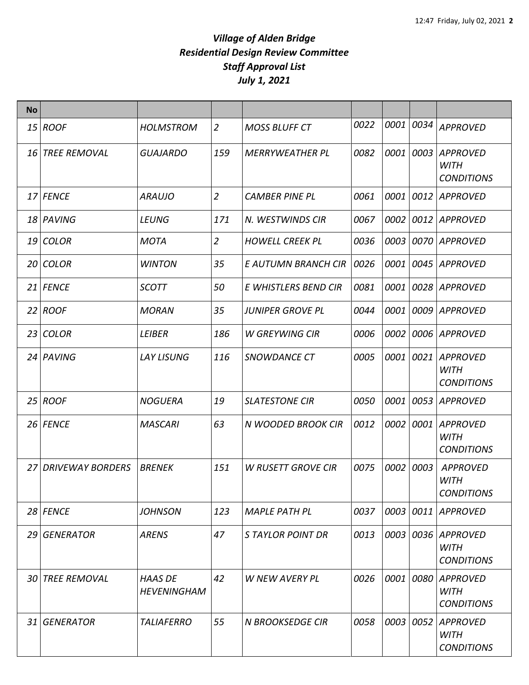| <b>No</b> |                        |                                      |                |                           |      |      |      |                                                     |
|-----------|------------------------|--------------------------------------|----------------|---------------------------|------|------|------|-----------------------------------------------------|
|           | $15$ ROOF              | <b>HOLMSTROM</b>                     | $\overline{2}$ | <b>MOSS BLUFF CT</b>      | 0022 | 0001 | 0034 | <b>APPROVED</b>                                     |
|           | <b>16 TREE REMOVAL</b> | <b>GUAJARDO</b>                      | 159            | <b>MERRYWEATHER PL</b>    | 0082 | 0001 | 0003 | <b>APPROVED</b><br><b>WITH</b><br><b>CONDITIONS</b> |
|           | 17 FENCE               | <b>ARAUJO</b>                        | $\overline{2}$ | <b>CAMBER PINE PL</b>     | 0061 | 0001 | 0012 | APPROVED                                            |
|           | 18 PAVING              | <b>LEUNG</b>                         | 171            | N. WESTWINDS CIR          | 0067 | 0002 |      | 0012 APPROVED                                       |
|           | 19 COLOR               | <b>MOTA</b>                          | $\overline{2}$ | <b>HOWELL CREEK PL</b>    | 0036 | 0003 | 0070 | APPROVED                                            |
|           | 20 COLOR               | <b>WINTON</b>                        | 35             | E AUTUMN BRANCH CIR       | 0026 | 0001 | 0045 | <b>APPROVED</b>                                     |
|           | 21 FENCE               | <b>SCOTT</b>                         | 50             | E WHISTLERS BEND CIR      | 0081 | 0001 | 0028 | APPROVED                                            |
|           | $22$ ROOF              | <b>MORAN</b>                         | 35             | <b>JUNIPER GROVE PL</b>   | 0044 | 0001 | 0009 | <b>APPROVED</b>                                     |
|           | 23 COLOR               | <b>LEIBER</b>                        | 186            | <b>W GREYWING CIR</b>     | 0006 | 0002 | 0006 | APPROVED                                            |
|           | 24 PAVING              | <b>LAY LISUNG</b>                    | 116            | <b>SNOWDANCE CT</b>       | 0005 | 0001 | 0021 | <b>APPROVED</b><br><b>WITH</b><br><b>CONDITIONS</b> |
|           | $25$ ROOF              | <b>NOGUERA</b>                       | 19             | <b>SLATESTONE CIR</b>     | 0050 | 0001 | 0053 | <b>APPROVED</b>                                     |
|           | 26 FENCE               | <b>MASCARI</b>                       | 63             | N WOODED BROOK CIR        | 0012 | 0002 | 0001 | <b>APPROVED</b><br><b>WITH</b><br><b>CONDITIONS</b> |
|           | 27 DRIVEWAY BORDERS    | <b>BRENEK</b>                        | 151            | <b>W RUSETT GROVE CIR</b> | 0075 | 0002 | 0003 | <b>APPROVED</b><br><b>WITH</b><br><b>CONDITIONS</b> |
|           | 28 FENCE               | <b>JOHNSON</b>                       | 123            | <b>MAPLE PATH PL</b>      | 0037 | 0003 | 0011 | <b>APPROVED</b>                                     |
|           | 29 GENERATOR           | <b>ARENS</b>                         | 47             | <b>STAYLOR POINT DR</b>   | 0013 | 0003 | 0036 | <b>APPROVED</b><br><b>WITH</b><br><b>CONDITIONS</b> |
|           | <b>30 TREE REMOVAL</b> | <b>HAAS DE</b><br><b>HEVENINGHAM</b> | 42             | W NEW AVERY PL            | 0026 | 0001 | 0080 | <b>APPROVED</b><br><b>WITH</b><br><b>CONDITIONS</b> |
|           | 31 GENERATOR           | <b>TALIAFERRO</b>                    | 55             | <b>N BROOKSEDGE CIR</b>   | 0058 | 0003 | 0052 | APPROVED<br><b>WITH</b><br><b>CONDITIONS</b>        |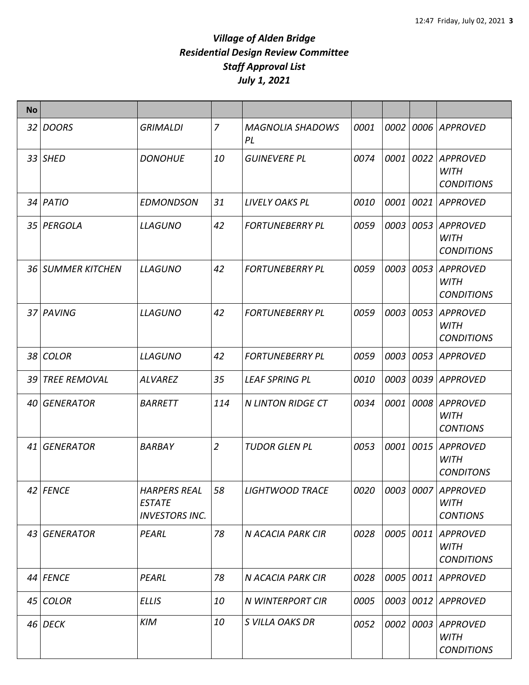| <b>No</b> |                     |                                                               |                |                               |      |      |      |                                                      |
|-----------|---------------------|---------------------------------------------------------------|----------------|-------------------------------|------|------|------|------------------------------------------------------|
|           | 32 DOORS            | <b>GRIMALDI</b>                                               | 7              | <b>MAGNOLIA SHADOWS</b><br>PL | 0001 | 0002 | 0006 | <b>APPROVED</b>                                      |
|           | 33 SHED             | <b>DONOHUE</b>                                                | 10             | <b>GUINEVERE PL</b>           | 0074 | 0001 | 0022 | <b>APPROVED</b><br><b>WITH</b><br><b>CONDITIONS</b>  |
|           | 34 PATIO            | <b>EDMONDSON</b>                                              | 31             | LIVELY OAKS PL                | 0010 | 0001 | 0021 | <b>APPROVED</b>                                      |
|           | 35 PERGOLA          | <b>LLAGUNO</b>                                                | 42             | <b>FORTUNEBERRY PL</b>        | 0059 | 0003 | 0053 | <b>APPROVED</b><br><b>WITH</b><br><b>CONDITIONS</b>  |
|           | 36 SUMMER KITCHEN   | <b>LLAGUNO</b>                                                | 42             | <b>FORTUNEBERRY PL</b>        | 0059 | 0003 | 0053 | <b>APPROVED</b><br><b>WITH</b><br><b>CONDITIONS</b>  |
|           | 37 PAVING           | <b>LLAGUNO</b>                                                | 42             | <b>FORTUNEBERRY PL</b>        | 0059 | 0003 | 0053 | <b>APPROVED</b><br><b>WITH</b><br><b>CONDITIONS</b>  |
|           | 38 COLOR            | <b>LLAGUNO</b>                                                | 42             | <b>FORTUNEBERRY PL</b>        | 0059 | 0003 | 0053 | <b>APPROVED</b>                                      |
| 39        | <b>TREE REMOVAL</b> | <b>ALVAREZ</b>                                                | 35             | <b>LEAF SPRING PL</b>         | 0010 | 0003 | 0039 | <b>APPROVED</b>                                      |
|           | 40 GENERATOR        | <b>BARRETT</b>                                                | 114            | <b>N LINTON RIDGE CT</b>      | 0034 | 0001 | 0008 | <b>APPROVED</b><br><b>WITH</b><br><b>CONTIONS</b>    |
| 41        | <b>GENERATOR</b>    | <b>BARBAY</b>                                                 | $\overline{2}$ | <b>TUDOR GLEN PL</b>          | 0053 | 0001 | 0015 | <b>APPROVED</b><br><b>WITH</b><br><b>CONDITONS</b>   |
|           | 42 FENCE            | <b>HARPERS REAL</b><br><b>ESTATE</b><br><b>INVESTORS INC.</b> | 58             | LIGHTWOOD TRACE               | 0020 |      |      | 0003 0007 APPROVED<br><b>WITH</b><br><b>CONTIONS</b> |
|           | 43 GENERATOR        | PEARL                                                         | 78             | N ACACIA PARK CIR             | 0028 | 0005 | 0011 | <b>APPROVED</b><br><b>WITH</b><br><b>CONDITIONS</b>  |
|           | 44 FENCE            | PEARL                                                         | 78             | <b>N ACACIA PARK CIR</b>      | 0028 | 0005 |      | 0011 APPROVED                                        |
|           | 45 COLOR            | <b>ELLIS</b>                                                  | 10             | N WINTERPORT CIR              | 0005 | 0003 | 0012 | APPROVED                                             |
|           | 46 DECK             | <b>KIM</b>                                                    | 10             | S VILLA OAKS DR               | 0052 | 0002 | 0003 | APPROVED<br><b>WITH</b><br><b>CONDITIONS</b>         |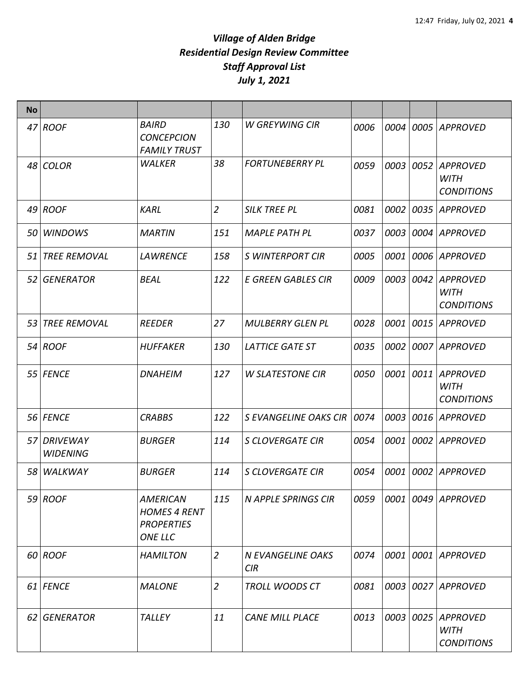| <b>No</b> |                                |                                                                               |                |                                 |      |      |      |                                                     |
|-----------|--------------------------------|-------------------------------------------------------------------------------|----------------|---------------------------------|------|------|------|-----------------------------------------------------|
|           | $47$ ROOF                      | <b>BAIRD</b><br><b>CONCEPCION</b><br><b>FAMILY TRUST</b>                      | 130            | <b>W GREYWING CIR</b>           | 0006 | 0004 | 0005 | <b>APPROVED</b>                                     |
|           | 48 COLOR                       | <b>WALKER</b>                                                                 | 38             | <b>FORTUNEBERRY PL</b>          | 0059 | 0003 | 0052 | <b>APPROVED</b><br><b>WITH</b><br><b>CONDITIONS</b> |
|           | $49$ ROOF                      | <b>KARL</b>                                                                   | $\overline{2}$ | <b>SILK TREE PL</b>             | 0081 | 0002 | 0035 | APPROVED                                            |
|           | 50 WINDOWS                     | <b>MARTIN</b>                                                                 | 151            | <b>MAPLE PATH PL</b>            | 0037 | 0003 | 0004 | <b>APPROVED</b>                                     |
|           | 51 TREE REMOVAL                | <b>LAWRENCE</b>                                                               | 158            | <b>S WINTERPORT CIR</b>         | 0005 | 0001 | 0006 | APPROVED                                            |
|           | 52 GENERATOR                   | <b>BEAL</b>                                                                   | 122            | <b>E GREEN GABLES CIR</b>       | 0009 | 0003 | 0042 | <b>APPROVED</b><br><b>WITH</b><br><b>CONDITIONS</b> |
|           | 53 TREE REMOVAL                | <b>REEDER</b>                                                                 | 27             | <b>MULBERRY GLEN PL</b>         | 0028 | 0001 | 0015 | APPROVED                                            |
|           | 54 ROOF                        | <b>HUFFAKER</b>                                                               | 130            | <b>LATTICE GATE ST</b>          | 0035 | 0002 |      | 0007 APPROVED                                       |
|           | 55 FENCE                       | <b>DNAHEIM</b>                                                                | 127            | <b>W SLATESTONE CIR</b>         | 0050 | 0001 | 0011 | <b>APPROVED</b><br><b>WITH</b><br><b>CONDITIONS</b> |
|           | 56 FENCE                       | <b>CRABBS</b>                                                                 | 122            | S EVANGELINE OAKS CIR           | 0074 | 0003 | 0016 | <b>APPROVED</b>                                     |
|           | 57 DRIVEWAY<br><b>WIDENING</b> | <b>BURGER</b>                                                                 | 114            | <b>S CLOVERGATE CIR</b>         | 0054 | 0001 | 0002 | <b>APPROVED</b>                                     |
|           | 58 WALKWAY                     | <b>BURGER</b>                                                                 | 114            | <b>S CLOVERGATE CIR</b>         | 0054 | 0001 | 0002 | <b>APPROVED</b>                                     |
|           | $59$ ROOF                      | <b>AMERICAN</b><br><b>HOMES 4 RENT</b><br><b>PROPERTIES</b><br><b>ONE LLC</b> | 115            | <b>N APPLE SPRINGS CIR</b>      | 0059 | 0001 |      | 0049 APPROVED                                       |
|           | 60 ROOF                        | <b>HAMILTON</b>                                                               | 2              | N EVANGELINE OAKS<br><b>CIR</b> | 0074 | 0001 |      | 0001 APPROVED                                       |
|           | 61 FENCE                       | <b>MALONE</b>                                                                 | $\overline{2}$ | <b>TROLL WOODS CT</b>           | 0081 | 0003 |      | 0027 APPROVED                                       |
|           | 62 GENERATOR                   | <b>TALLEY</b>                                                                 | 11             | <b>CANE MILL PLACE</b>          | 0013 | 0003 | 0025 | <b>APPROVED</b><br><b>WITH</b><br><b>CONDITIONS</b> |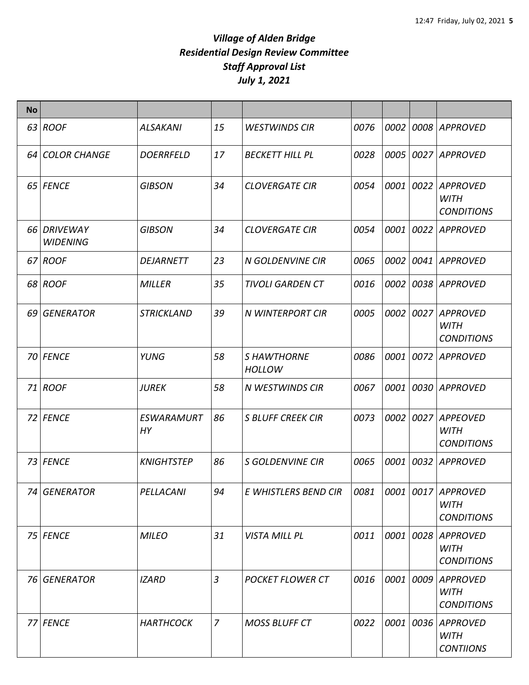| <b>No</b> |                                |                                |                |                                    |      |      |           |                                                        |
|-----------|--------------------------------|--------------------------------|----------------|------------------------------------|------|------|-----------|--------------------------------------------------------|
|           | 63 ROOF                        | <b>ALSAKANI</b>                | 15             | <b>WESTWINDS CIR</b>               | 0076 | 0002 |           | 0008 APPROVED                                          |
|           | 64 COLOR CHANGE                | <b>DOERRFELD</b>               | 17             | <b>BECKETT HILL PL</b>             | 0028 | 0005 |           | 0027 APPROVED                                          |
|           | 65 FENCE                       | <b>GIBSON</b>                  | 34             | <b>CLOVERGATE CIR</b>              | 0054 |      | 0001 0022 | <b>APPROVED</b><br>WITH<br><b>CONDITIONS</b>           |
|           | 66 DRIVEWAY<br><b>WIDENING</b> | <b>GIBSON</b>                  | 34             | <b>CLOVERGATE CIR</b>              | 0054 | 0001 | 0022      | <b>APPROVED</b>                                        |
|           | 67 ROOF                        | <b>DEJARNETT</b>               | 23             | <b>N GOLDENVINE CIR</b>            | 0065 | 0002 | 0041      | <b>APPROVED</b>                                        |
|           | 68 ROOF                        | <b>MILLER</b>                  | 35             | <b>TIVOLI GARDEN CT</b>            | 0016 | 0002 |           | 0038 APPROVED                                          |
|           | 69 GENERATOR                   | <b>STRICKLAND</b>              | 39             | <b>N WINTERPORT CIR</b>            | 0005 |      | 0002 0027 | <b>APPROVED</b><br><b>WITH</b><br><b>CONDITIONS</b>    |
|           | 70 FENCE                       | YUNG                           | 58             | <b>SHAWTHORNE</b><br><b>HOLLOW</b> | 0086 | 0001 | 0072      | <b>APPROVED</b>                                        |
|           | 71 ROOF                        | <b>JUREK</b>                   | 58             | N WESTWINDS CIR                    | 0067 | 0001 |           | 0030 APPROVED                                          |
|           | 72 FENCE                       | <b>ESWARAMURT</b><br><b>HY</b> | 86             | <b>S BLUFF CREEK CIR</b>           | 0073 | 0002 | 0027      | <b>APPEOVED</b><br><b>WITH</b><br><b>CONDITIONS</b>    |
|           | 73 FENCE                       | <b>KNIGHTSTEP</b>              | 86             | <b>S GOLDENVINE CIR</b>            | 0065 |      | 0001 0032 | <b>APPROVED</b>                                        |
|           | 74 GENERATOR                   | PELLACANI                      | 94             | E WHISTLERS BEND CIR               | 0081 |      |           | 0001 0017 APPROVED<br><b>WITH</b><br><b>CONDITIONS</b> |
|           | 75 FENCE                       | <b>MILEO</b>                   | 31             | VISTA MILL PL                      | 0011 |      | 0001 0028 | APPROVED<br>WITH<br><b>CONDITIONS</b>                  |
|           | 76 GENERATOR                   | <b>IZARD</b>                   | 3              | <b>POCKET FLOWER CT</b>            | 0016 | 0001 | 0009      | <b>APPROVED</b><br><b>WITH</b><br><b>CONDITIONS</b>    |
|           | 77 FENCE                       | <b>HARTHCOCK</b>               | $\overline{z}$ | <b>MOSS BLUFF CT</b>               | 0022 |      | 0001 0036 | APPROVED<br><b>WITH</b><br><b>CONTIIONS</b>            |